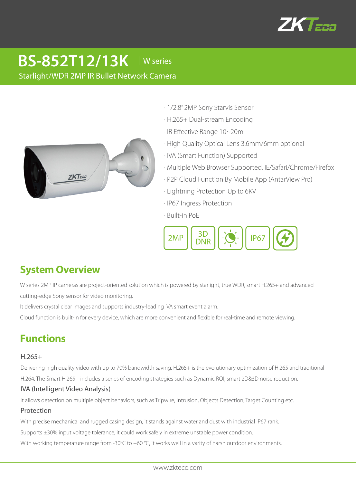

# **BS-852T12/13K** │W series

Starlight/WDR 2MP IR Bullet Network Camera



- · 1/2.8" 2MP Sony Starvis Sensor
- · H.265+ Dual-stream Encoding
- · IR Effective Range 10~20m
- · High Quality Optical Lens 3.6mm/6mm optional
- · IVA (Smart Function) Supported
- · Multiple Web Browser Supported, IE/Safari/Chrome/Firefox
- · P2P Cloud Function By Mobile App (AntarView Pro)
- · Lightning Protection Up to 6KV
- · IP67 Ingress Protection
- · Built-in PoE



## **System Overview**

W series 2MP IP cameras are project-oriented solution which is powered by starlight, true WDR, smart H.265+ and advanced cutting-edge Sony sensor for video monitoring.

It delivers crystal clear images and supports industry-leading IVA smart event alarm.

Cloud function is built-in for every device, which are more convenient and flexible for real-time and remote viewing.

## **Functions**

## H.265+

Delivering high quality video with up to 70% bandwidth saving. H.265+ is the evolutionary optimization of H.265 and traditional H.264. The Smart H.265+ includes a series of encoding strategies such as Dynamic ROI, smart 2D&3D noise reduction.

## IVA (Intelligent Video Analysis)

It allows detection on multiple object behaviors, such as Tripwire, Intrusion, Objects Detection, Target Counting etc.

## Protection

With precise mechanical and rugged casing design, it stands against water and dust with industrial IP67 rank.

Supports ±30% input voltage tolerance, it could work safely in extreme unstable power condition.

With working temperature range from -30°C to +60 °C, it works well in a varity of harsh outdoor environments.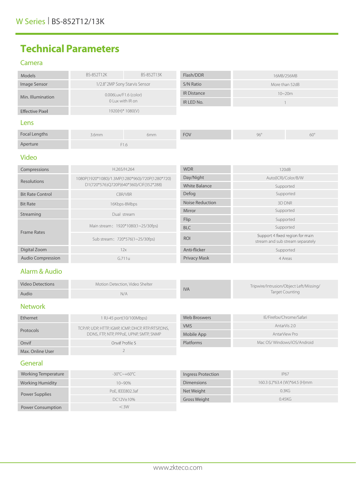## **Technical Parameters**

#### Camera

| Models                   | BS-852T12K                                      | BS-852T13K | Flash/DDR                            |                                                                     | 16MB/256MB |
|--------------------------|-------------------------------------------------|------------|--------------------------------------|---------------------------------------------------------------------|------------|
| Image Sensor             | 1/2.8" 2MP Sony Starvis Sensor                  |            | S/N Ratio                            | More than 52dB                                                      |            |
| Min. Illumination        | 0.006Lux/F1.6 (color)<br>0 Lux with IR on       |            | <b>IR Distance</b>                   | $10 - 20m$                                                          |            |
|                          |                                                 |            | IR LED No.                           | $\mathbf{1}$                                                        |            |
| <b>Effective Pixel</b>   | 1920(H)* 1080(V)                                |            |                                      |                                                                     |            |
| Lens                     |                                                 |            |                                      |                                                                     |            |
| <b>Focal Lengths</b>     | 3.6mm                                           | 6mm        | <b>FOV</b>                           | $96^\circ$                                                          | $60^\circ$ |
| Aperture                 | F1.6                                            |            |                                      |                                                                     |            |
| <b>Video</b>             |                                                 |            |                                      |                                                                     |            |
| Compressions             | H.265/H.264                                     |            | <b>WDR</b>                           | 120dB                                                               |            |
| Resolutions              | 1080P(1920*1080)/1.3MP(1280*960)/720P(1280*720) |            | Day/Night                            | Auto(ICR)/Color/B/W                                                 |            |
|                          | D1(720*576)Q720P(640*360)/CIF(352*288)          |            | <b>White Balance</b>                 | Supported                                                           |            |
| <b>Bit Rate Control</b>  | CBR/VBR                                         |            | Defog                                | Supported                                                           |            |
| <b>Bit Rate</b>          | 16Kbps-8Mbps                                    |            | <b>Noise Reduction</b>               | 3D DNR                                                              |            |
| Streaming                | Dual stream                                     |            | Mirror                               | Supported                                                           |            |
| <b>Frame Rates</b>       | Main stream: 1920*1080(1~25/30fps)              |            | Flip                                 | Supported                                                           |            |
|                          |                                                 |            | <b>BLC</b>                           | Supported                                                           |            |
|                          | Sub stream: 720*576(1~25/30fps)                 |            | ROI                                  | Support 4 fixed region for main<br>stream and sub stream separately |            |
| Digital Zoom             | 12x                                             |            | Anti-flicker                         | Supported                                                           |            |
| <b>Audio Compression</b> | G.711u                                          |            | Privacy Mask                         | 4 Areas                                                             |            |
| Alarm & Audio            |                                                 |            |                                      |                                                                     |            |
| <b>Video Detections</b>  | Motion Detection, Video Shelter                 |            |                                      | Tripwire/Intrusion/Object Left/Missing/                             |            |
| Audio                    |                                                 | N/A        | <b>IVA</b><br><b>Target Counting</b> |                                                                     |            |
| <b>Network</b>           |                                                 |            |                                      |                                                                     |            |

#### Ethernet 1 RJ-45 port(10/100Mbps) Web Broswers IE/Firefox/Chrome/Safari VMS AntarVis 2.0 Protocols TCP/IP, UDP, HTTP, IGMP, ICMP, DHCP, RTP/RTSP,DNS, DDNS, FTP, NTP, PPPoE, UPNP, SMTP, SNMP AntarView Pro Mobile App Mac OS/ Windows/iOS/Android Onvif Onvif Profile S Platforms  $\overline{2}$ Max. Online User

#### **General**

| <b>Working Temperature</b> | -30°C~+60°C      | Ingress Protection  | <b>IP67</b>                   |
|----------------------------|------------------|---------------------|-------------------------------|
| <b>Working Humidity</b>    | $10 - 90\%$      | <b>Dimensions</b>   | 160.3 (L)*63.4 (W)*64.5 (H)mm |
| Power Supplies             | PoE, IEEE802.3af | Net Weight          | 0.3KG                         |
|                            | DC12V±10%        | <b>Gross Weight</b> | 0.45KG                        |
| <b>Power Consumption</b>   | $<$ 3W           |                     |                               |